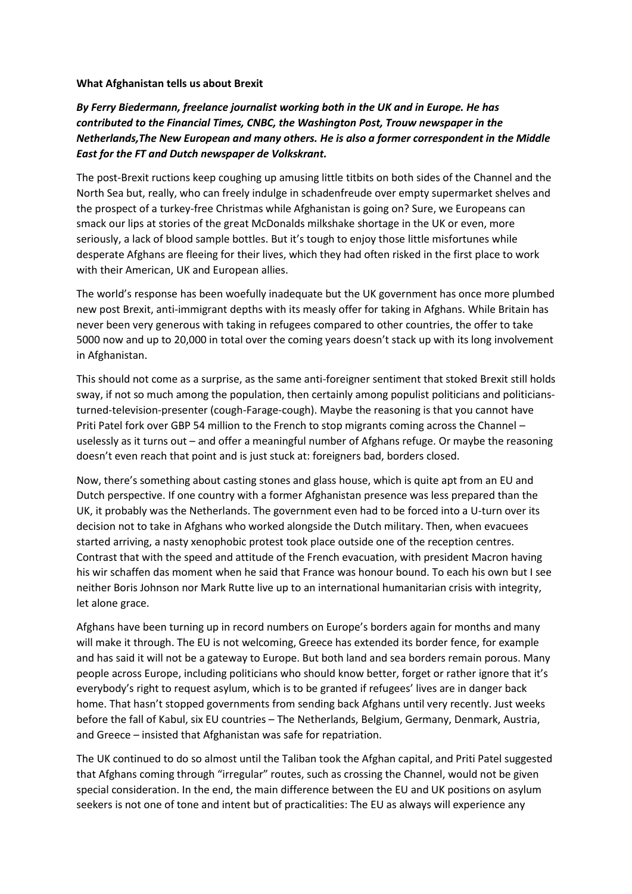## **What Afghanistan tells us about Brexit**

## *By Ferry Biedermann, freelance journalist working both in the UK and in Europe. He has contributed to the Financial Times, CNBC, the Washington Post, Trouw newspaper in the Netherlands,The New European and many others. He is also a former correspondent in the Middle East for the FT and Dutch newspaper de Volkskrant.*

The post-Brexit ructions keep coughing up amusing little titbits on both sides of the Channel and the North Sea but, really, who can freely indulge in schadenfreude over empty supermarket shelves and the prospect of a turkey-free Christmas while Afghanistan is going on? Sure, we Europeans can smack our lips at stories of the great McDonalds milkshake shortage in the UK or even, more seriously, a lack of blood sample bottles. But it's tough to enjoy those little misfortunes while desperate Afghans are fleeing for their lives, which they had often risked in the first place to work with their American, UK and European allies.

The world's response has been woefully inadequate but the UK government has once more plumbed new post Brexit, anti-immigrant depths with its measly offer for taking in Afghans. While Britain has never been very generous with taking in refugees compared to other countries, the offer to take 5000 now and up to 20,000 in total over the coming years doesn't stack up with its long involvement in Afghanistan.

This should not come as a surprise, as the same anti-foreigner sentiment that stoked Brexit still holds sway, if not so much among the population, then certainly among populist politicians and politiciansturned-television-presenter (cough-Farage-cough). Maybe the reasoning is that you cannot have Priti Patel fork over GBP 54 million to the French to stop migrants coming across the Channel – uselessly as it turns out – and offer a meaningful number of Afghans refuge. Or maybe the reasoning doesn't even reach that point and is just stuck at: foreigners bad, borders closed.

Now, there's something about casting stones and glass house, which is quite apt from an EU and Dutch perspective. If one country with a former Afghanistan presence was less prepared than the UK, it probably was the Netherlands. The government even had to be forced into a U-turn over its decision not to take in Afghans who worked alongside the Dutch military. Then, when evacuees started arriving, a nasty xenophobic protest took place outside one of the reception centres. Contrast that with the speed and attitude of the French evacuation, with president Macron having his wir schaffen das moment when he said that France was honour bound. To each his own but I see neither Boris Johnson nor Mark Rutte live up to an international humanitarian crisis with integrity, let alone grace.

Afghans have been turning up in record numbers on Europe's borders again for months and many will make it through. The EU is not welcoming, Greece has extended its border fence, for example and has said it will not be a gateway to Europe. But both land and sea borders remain porous. Many people across Europe, including politicians who should know better, forget or rather ignore that it's everybody's right to request asylum, which is to be granted if refugees' lives are in danger back home. That hasn't stopped governments from sending back Afghans until very recently. Just weeks before the fall of Kabul, six EU countries – The Netherlands, Belgium, Germany, Denmark, Austria, and Greece – insisted that Afghanistan was safe for repatriation.

The UK continued to do so almost until the Taliban took the Afghan capital, and Priti Patel suggested that Afghans coming through "irregular" routes, such as crossing the Channel, would not be given special consideration. In the end, the main difference between the EU and UK positions on asylum seekers is not one of tone and intent but of practicalities: The EU as always will experience any